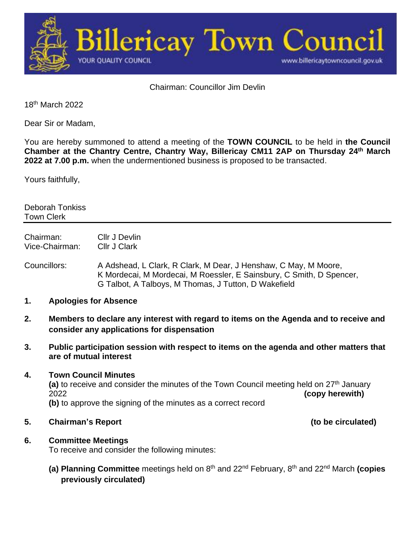

Chairman: Councillor Jim Devlin

18th March 2022

Dear Sir or Madam,

You are hereby summoned to attend a meeting of the **TOWN COUNCIL** to be held in **the Council Chamber at the Chantry Centre, Chantry Way, Billericay CM11 2AP on Thursday 24 th March 2022 at 7.00 p.m.** when the undermentioned business is proposed to be transacted.

Yours faithfully,

Deborah Tonkiss Town Clerk

Chairman: Cllr J Devlin Vice-Chairman: Cllr J Clark

Councillors: A Adshead, L Clark, R Clark, M Dear, J Henshaw, C May, M Moore, K Mordecai, M Mordecai, M Roessler, E Sainsbury, C Smith, D Spencer, G Talbot, A Talboys, M Thomas, J Tutton, D Wakefield

- **1. Apologies for Absence**
- **2. Members to declare any interest with regard to items on the Agenda and to receive and consider any applications for dispensation**
- **3. Public participation session with respect to items on the agenda and other matters that are of mutual interest**

#### **4. Town Council Minutes**

(a) to receive and consider the minutes of the Town Council meeting held on 27<sup>th</sup> January 2022 **(copy herewith) (b)** to approve the signing of the minutes as a correct record

**5. Chairman's Report (to be circulated)**

### **6. Committee Meetings**

To receive and consider the following minutes:

**(a) Planning Committee** meetings held on 8<sup>th</sup> and 22<sup>nd</sup> February, 8<sup>th</sup> and 22<sup>nd</sup> March **(copies previously circulated)**